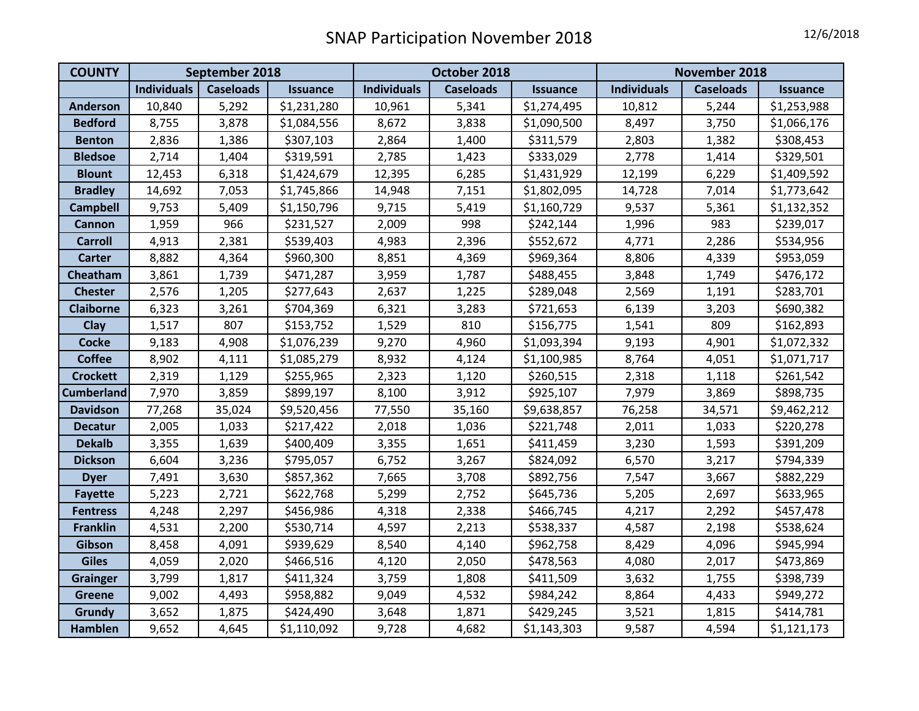| <b>COUNTY</b>     | September 2018     |                  |                 | October 2018       |                  |                 | November 2018      |                  |                 |
|-------------------|--------------------|------------------|-----------------|--------------------|------------------|-----------------|--------------------|------------------|-----------------|
|                   | <b>Individuals</b> | <b>Caseloads</b> | <b>Issuance</b> | <b>Individuals</b> | <b>Caseloads</b> | <b>Issuance</b> | <b>Individuals</b> | <b>Caseloads</b> | <b>Issuance</b> |
| <b>Anderson</b>   | 10,840             | 5,292            | \$1,231,280     | 10,961             | 5,341            | \$1,274,495     | 10,812             | 5,244            | \$1,253,988     |
| <b>Bedford</b>    | 8,755              | 3,878            | \$1,084,556     | 8,672              | 3,838            | \$1,090,500     | 8,497              | 3,750            | \$1,066,176     |
| <b>Benton</b>     | 2,836              | 1,386            | \$307,103       | 2,864              | 1,400            | \$311,579       | 2,803              | 1,382            | \$308,453       |
| <b>Bledsoe</b>    | 2,714              | 1,404            | \$319,591       | 2,785              | 1,423            | \$333,029       | 2,778              | 1,414            | \$329,501       |
| <b>Blount</b>     | 12,453             | 6,318            | \$1,424,679     | 12,395             | 6,285            | \$1,431,929     | 12,199             | 6,229            | \$1,409,592     |
| <b>Bradley</b>    | 14,692             | 7,053            | \$1,745,866     | 14,948             | 7,151            | \$1,802,095     | 14,728             | 7,014            | \$1,773,642     |
| <b>Campbell</b>   | 9,753              | 5,409            | \$1,150,796     | 9,715              | 5,419            | \$1,160,729     | 9,537              | 5,361            | \$1,132,352     |
| <b>Cannon</b>     | 1,959              | 966              | \$231,527       | 2,009              | 998              | \$242,144       | 1,996              | 983              | \$239,017       |
| <b>Carroll</b>    | 4,913              | 2,381            | \$539,403       | 4,983              | 2,396            | \$552,672       | 4,771              | 2,286            | \$534,956       |
| <b>Carter</b>     | 8,882              | 4,364            | \$960,300       | 8,851              | 4,369            | \$969,364       | 8,806              | 4,339            | \$953,059       |
| Cheatham          | 3,861              | 1,739            | \$471,287       | 3,959              | 1,787            | \$488,455       | 3,848              | 1,749            | \$476,172       |
| <b>Chester</b>    | 2,576              | 1,205            | \$277,643       | 2,637              | 1,225            | \$289,048       | 2,569              | 1,191            | \$283,701       |
| <b>Claiborne</b>  | 6,323              | 3,261            | \$704,369       | 6,321              | 3,283            | \$721,653       | 6,139              | 3,203            | \$690,382       |
| Clay              | 1,517              | 807              | \$153,752       | 1,529              | 810              | \$156,775       | 1,541              | 809              | \$162,893       |
| <b>Cocke</b>      | 9,183              | 4,908            | \$1,076,239     | 9,270              | 4,960            | \$1,093,394     | 9,193              | 4,901            | \$1,072,332     |
| <b>Coffee</b>     | 8,902              | 4,111            | \$1,085,279     | 8,932              | 4,124            | \$1,100,985     | 8,764              | 4,051            | \$1,071,717     |
| <b>Crockett</b>   | 2,319              | 1,129            | \$255,965       | 2,323              | 1,120            | \$260,515       | 2,318              | 1,118            | \$261,542       |
| <b>Cumberland</b> | 7,970              | 3,859            | \$899,197       | 8,100              | 3,912            | \$925,107       | 7,979              | 3,869            | \$898,735       |
| <b>Davidson</b>   | 77,268             | 35,024           | \$9,520,456     | 77,550             | 35,160           | \$9,638,857     | 76,258             | 34,571           | \$9,462,212     |
| <b>Decatur</b>    | 2,005              | 1,033            | \$217,422       | 2,018              | 1,036            | \$221,748       | 2,011              | 1,033            | \$220,278       |
| <b>Dekalb</b>     | 3,355              | 1,639            | \$400,409       | 3,355              | 1,651            | \$411,459       | 3,230              | 1,593            | \$391,209       |
| <b>Dickson</b>    | 6,604              | 3,236            | \$795,057       | 6,752              | 3,267            | \$824,092       | 6,570              | 3,217            | \$794,339       |
| <b>Dyer</b>       | 7,491              | 3,630            | \$857,362       | 7,665              | 3,708            | \$892,756       | 7,547              | 3,667            | \$882,229       |
| <b>Fayette</b>    | 5,223              | 2,721            | \$622,768       | 5,299              | 2,752            | \$645,736       | 5,205              | 2,697            | \$633,965       |
| <b>Fentress</b>   | 4,248              | 2,297            | \$456,986       | 4,318              | 2,338            | \$466,745       | 4,217              | 2,292            | \$457,478       |
| <b>Franklin</b>   | 4,531              | 2,200            | \$530,714       | 4,597              | 2,213            | \$538,337       | 4,587              | 2,198            | \$538,624       |
| Gibson            | 8,458              | 4,091            | \$939,629       | 8,540              | 4,140            | \$962,758       | 8,429              | 4,096            | \$945,994       |
| <b>Giles</b>      | 4,059              | 2,020            | \$466,516       | 4,120              | 2,050            | \$478,563       | 4,080              | 2,017            | \$473,869       |
| <b>Grainger</b>   | 3,799              | 1,817            | \$411,324       | 3,759              | 1,808            | \$411,509       | 3,632              | 1,755            | \$398,739       |
| <b>Greene</b>     | 9,002              | 4,493            | \$958,882       | 9,049              | 4,532            | \$984,242       | 8,864              | 4,433            | \$949,272       |
| Grundy            | 3,652              | 1,875            | \$424,490       | 3,648              | 1,871            | \$429,245       | 3,521              | 1,815            | \$414,781       |
| <b>Hamblen</b>    | 9,652              | 4,645            | \$1,110,092     | 9,728              | 4,682            | \$1,143,303     | 9,587              | 4,594            | \$1,121,173     |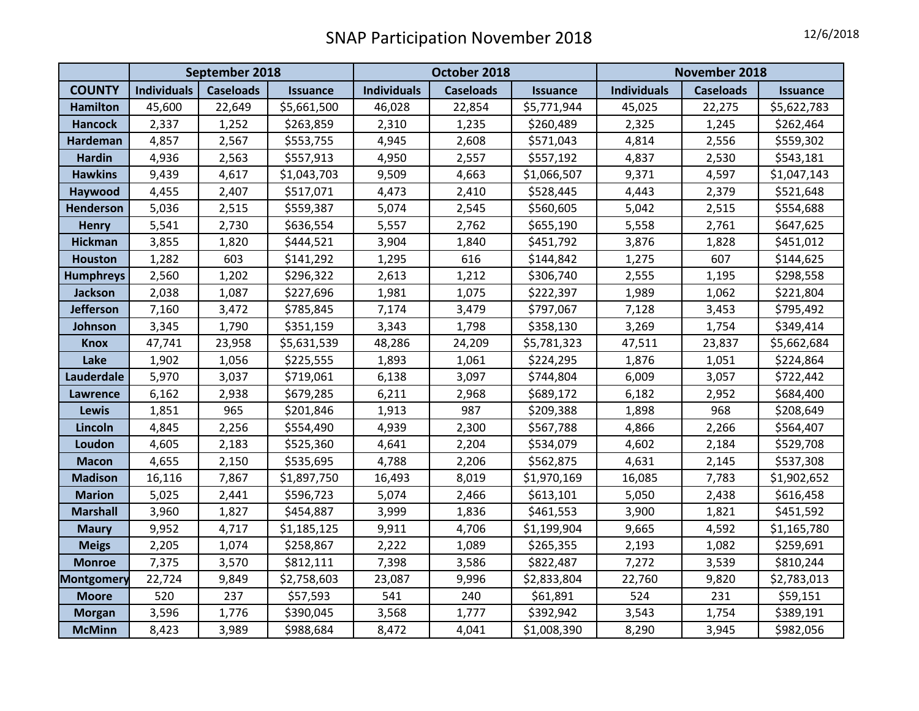|                   | September 2018     |                  |                 | October 2018       |                  |                 | November 2018      |                  |                 |
|-------------------|--------------------|------------------|-----------------|--------------------|------------------|-----------------|--------------------|------------------|-----------------|
| <b>COUNTY</b>     | <b>Individuals</b> | <b>Caseloads</b> | <b>Issuance</b> | <b>Individuals</b> | <b>Caseloads</b> | <b>Issuance</b> | <b>Individuals</b> | <b>Caseloads</b> | <b>Issuance</b> |
| <b>Hamilton</b>   | 45,600             | 22,649           | \$5,661,500     | 46,028             | 22,854           | \$5,771,944     | 45,025             | 22,275           | \$5,622,783     |
| <b>Hancock</b>    | 2,337              | 1,252            | \$263,859       | 2,310              | 1,235            | \$260,489       | 2,325              | 1,245            | \$262,464       |
| Hardeman          | 4,857              | 2,567            | \$553,755       | 4,945              | 2,608            | \$571,043       | 4,814              | 2,556            | \$559,302       |
| <b>Hardin</b>     | 4,936              | 2,563            | \$557,913       | 4,950              | 2,557            | \$557,192       | 4,837              | 2,530            | \$543,181       |
| <b>Hawkins</b>    | 9,439              | 4,617            | \$1,043,703     | 9,509              | 4,663            | \$1,066,507     | 9,371              | 4,597            | \$1,047,143     |
| Haywood           | 4,455              | 2,407            | \$517,071       | 4,473              | 2,410            | \$528,445       | 4,443              | 2,379            | \$521,648       |
| <b>Henderson</b>  | 5,036              | 2,515            | \$559,387       | 5,074              | 2,545            | \$560,605       | 5,042              | 2,515            | \$554,688       |
| <b>Henry</b>      | 5,541              | 2,730            | \$636,554       | 5,557              | 2,762            | \$655,190       | 5,558              | 2,761            | \$647,625       |
| <b>Hickman</b>    | 3,855              | 1,820            | \$444,521       | 3,904              | 1,840            | \$451,792       | 3,876              | 1,828            | \$451,012       |
| <b>Houston</b>    | 1,282              | 603              | \$141,292       | 1,295              | 616              | \$144,842       | 1,275              | 607              | \$144,625       |
| <b>Humphreys</b>  | 2,560              | 1,202            | \$296,322       | 2,613              | 1,212            | \$306,740       | 2,555              | 1,195            | \$298,558       |
| Jackson           | 2,038              | 1,087            | \$227,696       | 1,981              | 1,075            | \$222,397       | 1,989              | 1,062            | \$221,804       |
| <b>Jefferson</b>  | 7,160              | 3,472            | \$785,845       | 7,174              | 3,479            | \$797,067       | 7,128              | 3,453            | \$795,492       |
| Johnson           | 3,345              | 1,790            | \$351,159       | 3,343              | 1,798            | \$358,130       | 3,269              | 1,754            | \$349,414       |
| <b>Knox</b>       | 47,741             | 23,958           | \$5,631,539     | 48,286             | 24,209           | \$5,781,323     | 47,511             | 23,837           | \$5,662,684     |
| Lake              | 1,902              | 1,056            | \$225,555       | 1,893              | 1,061            | \$224,295       | 1,876              | 1,051            | \$224,864       |
| Lauderdale        | 5,970              | 3,037            | \$719,061       | 6,138              | 3,097            | \$744,804       | 6,009              | 3,057            | \$722,442       |
| <b>Lawrence</b>   | 6,162              | 2,938            | \$679,285       | 6,211              | 2,968            | \$689,172       | 6,182              | 2,952            | \$684,400       |
| Lewis             | 1,851              | 965              | \$201,846       | 1,913              | 987              | \$209,388       | 1,898              | 968              | \$208,649       |
| Lincoln           | 4,845              | 2,256            | \$554,490       | 4,939              | 2,300            | \$567,788       | 4,866              | 2,266            | \$564,407       |
| Loudon            | 4,605              | 2,183            | \$525,360       | 4,641              | 2,204            | \$534,079       | 4,602              | 2,184            | \$529,708       |
| <b>Macon</b>      | 4,655              | 2,150            | \$535,695       | 4,788              | 2,206            | \$562,875       | 4,631              | 2,145            | \$537,308       |
| <b>Madison</b>    | 16,116             | 7,867            | \$1,897,750     | 16,493             | 8,019            | \$1,970,169     | 16,085             | 7,783            | \$1,902,652     |
| <b>Marion</b>     | 5,025              | 2,441            | \$596,723       | 5,074              | 2,466            | \$613,101       | 5,050              | 2,438            | \$616,458       |
| <b>Marshall</b>   | 3,960              | 1,827            | \$454,887       | 3,999              | 1,836            | \$461,553       | 3,900              | 1,821            | \$451,592       |
| <b>Maury</b>      | 9,952              | 4,717            | \$1,185,125     | 9,911              | 4,706            | \$1,199,904     | 9,665              | 4,592            | \$1,165,780     |
| <b>Meigs</b>      | 2,205              | 1,074            | \$258,867       | 2,222              | 1,089            | \$265,355       | 2,193              | 1,082            | \$259,691       |
| <b>Monroe</b>     | 7,375              | 3,570            | \$812,111       | 7,398              | 3,586            | \$822,487       | 7,272              | 3,539            | \$810,244       |
| <b>Montgomery</b> | 22,724             | 9,849            | \$2,758,603     | 23,087             | 9,996            | \$2,833,804     | 22,760             | 9,820            | \$2,783,013     |
| <b>Moore</b>      | 520                | 237              | \$57,593        | 541                | 240              | \$61,891        | 524                | 231              | \$59,151        |
| <b>Morgan</b>     | 3,596              | 1,776            | \$390,045       | 3,568              | 1,777            | \$392,942       | 3,543              | 1,754            | \$389,191       |
| <b>McMinn</b>     | 8,423              | 3,989            | \$988,684       | 8,472              | 4,041            | \$1,008,390     | 8,290              | 3,945            | \$982,056       |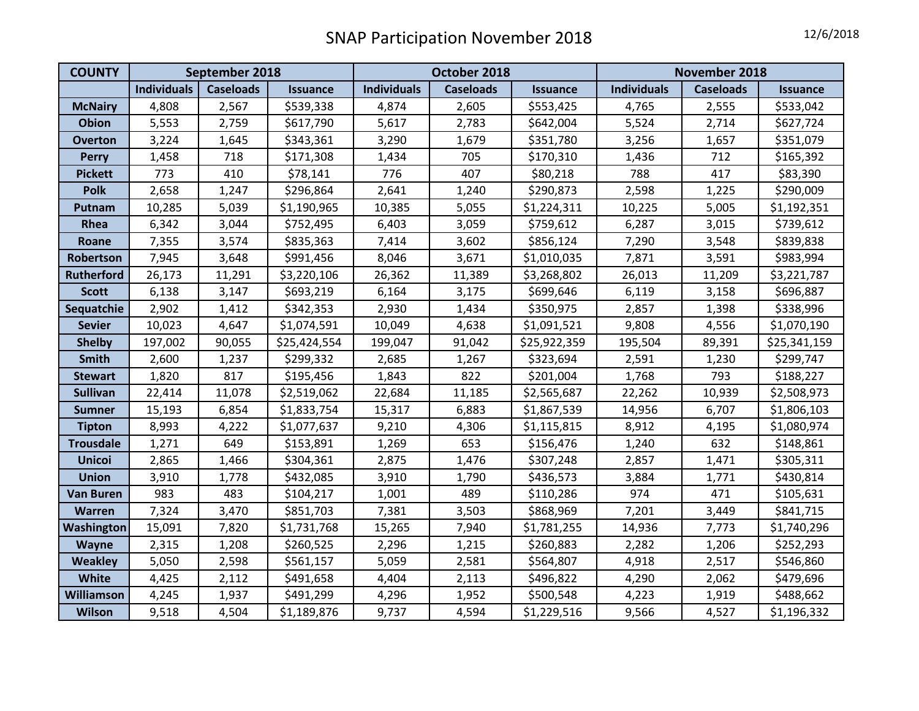| <b>COUNTY</b>     | September 2018     |                  |                 | October 2018       |                  |                 | November 2018      |                  |                 |
|-------------------|--------------------|------------------|-----------------|--------------------|------------------|-----------------|--------------------|------------------|-----------------|
|                   | <b>Individuals</b> | <b>Caseloads</b> | <b>Issuance</b> | <b>Individuals</b> | <b>Caseloads</b> | <b>Issuance</b> | <b>Individuals</b> | <b>Caseloads</b> | <b>Issuance</b> |
| <b>McNairy</b>    | 4,808              | 2,567            | \$539,338       | 4,874              | 2,605            | \$553,425       | 4,765              | 2,555            | \$533,042       |
| Obion             | 5,553              | 2,759            | \$617,790       | 5,617              | 2,783            | \$642,004       | 5,524              | 2,714            | \$627,724       |
| <b>Overton</b>    | 3,224              | 1,645            | \$343,361       | 3,290              | 1,679            | \$351,780       | 3,256              | 1,657            | \$351,079       |
| <b>Perry</b>      | 1,458              | 718              | \$171,308       | 1,434              | 705              | \$170,310       | 1,436              | 712              | \$165,392       |
| <b>Pickett</b>    | 773                | 410              | \$78,141        | 776                | 407              | \$80,218        | 788                | 417              | \$83,390        |
| <b>Polk</b>       | 2,658              | 1,247            | \$296,864       | 2,641              | 1,240            | \$290,873       | 2,598              | 1,225            | \$290,009       |
| Putnam            | 10,285             | 5,039            | \$1,190,965     | 10,385             | 5,055            | \$1,224,311     | 10,225             | 5,005            | \$1,192,351     |
| Rhea              | 6,342              | 3,044            | \$752,495       | 6,403              | 3,059            | \$759,612       | 6,287              | 3,015            | \$739,612       |
| Roane             | 7,355              | 3,574            | \$835,363       | 7,414              | 3,602            | \$856,124       | 7,290              | 3,548            | \$839,838       |
| Robertson         | 7,945              | 3,648            | \$991,456       | 8,046              | 3,671            | \$1,010,035     | 7,871              | 3,591            | \$983,994       |
| <b>Rutherford</b> | 26,173             | 11,291           | \$3,220,106     | 26,362             | 11,389           | \$3,268,802     | 26,013             | 11,209           | \$3,221,787     |
| <b>Scott</b>      | 6,138              | 3,147            | \$693,219       | 6,164              | 3,175            | \$699,646       | 6,119              | 3,158            | \$696,887       |
| Sequatchie        | 2,902              | 1,412            | \$342,353       | 2,930              | 1,434            | \$350,975       | 2,857              | 1,398            | \$338,996       |
| <b>Sevier</b>     | 10,023             | 4,647            | \$1,074,591     | 10,049             | 4,638            | \$1,091,521     | 9,808              | 4,556            | \$1,070,190     |
| <b>Shelby</b>     | 197,002            | 90,055           | \$25,424,554    | 199,047            | 91,042           | \$25,922,359    | 195,504            | 89,391           | \$25,341,159    |
| Smith             | 2,600              | 1,237            | \$299,332       | 2,685              | 1,267            | \$323,694       | 2,591              | 1,230            | \$299,747       |
| <b>Stewart</b>    | 1,820              | 817              | \$195,456       | 1,843              | 822              | \$201,004       | 1,768              | 793              | \$188,227       |
| <b>Sullivan</b>   | 22,414             | 11,078           | \$2,519,062     | 22,684             | 11,185           | \$2,565,687     | 22,262             | 10,939           | \$2,508,973     |
| <b>Sumner</b>     | 15,193             | 6,854            | \$1,833,754     | 15,317             | 6,883            | \$1,867,539     | 14,956             | 6,707            | \$1,806,103     |
| <b>Tipton</b>     | 8,993              | 4,222            | \$1,077,637     | 9,210              | 4,306            | \$1,115,815     | 8,912              | 4,195            | \$1,080,974     |
| <b>Trousdale</b>  | 1,271              | 649              | \$153,891       | 1,269              | 653              | \$156,476       | 1,240              | 632              | \$148,861       |
| <b>Unicoi</b>     | 2,865              | 1,466            | \$304,361       | 2,875              | 1,476            | \$307,248       | 2,857              | 1,471            | \$305,311       |
| <b>Union</b>      | 3,910              | 1,778            | \$432,085       | 3,910              | 1,790            | \$436,573       | 3,884              | 1,771            | \$430,814       |
| <b>Van Buren</b>  | 983                | 483              | \$104,217       | 1,001              | 489              | \$110,286       | 974                | 471              | \$105,631       |
| <b>Warren</b>     | 7,324              | 3,470            | \$851,703       | 7,381              | 3,503            | \$868,969       | 7,201              | 3,449            | \$841,715       |
| Washington        | 15,091             | 7,820            | \$1,731,768     | 15,265             | 7,940            | \$1,781,255     | 14,936             | 7,773            | \$1,740,296     |
| Wayne             | 2,315              | 1,208            | \$260,525       | 2,296              | 1,215            | \$260,883       | 2,282              | 1,206            | \$252,293       |
| <b>Weakley</b>    | 5,050              | 2,598            | \$561,157       | 5,059              | 2,581            | \$564,807       | 4,918              | 2,517            | \$546,860       |
| White             | 4,425              | 2,112            | \$491,658       | 4,404              | 2,113            | \$496,822       | 4,290              | 2,062            | \$479,696       |
| Williamson        | 4,245              | 1,937            | \$491,299       | 4,296              | 1,952            | \$500,548       | 4,223              | 1,919            | \$488,662       |
| <b>Wilson</b>     | 9,518              | 4,504            | \$1,189,876     | 9,737              | 4,594            | \$1,229,516     | 9,566              | 4,527            | \$1,196,332     |